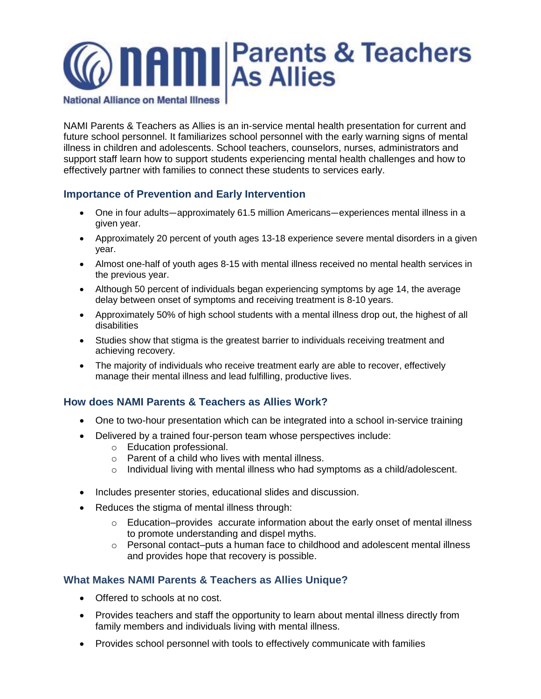

**National Alliance on Mental Illness** 

NAMI Parents & Teachers as Allies is an in-service mental health presentation for current and future school personnel. It familiarizes school personnel with the early warning signs of mental illness in children and adolescents. School teachers, counselors, nurses, administrators and support staff learn how to support students experiencing mental health challenges and how to effectively partner with families to connect these students to services early.

# **Importance of Prevention and Early Intervention**

- One in four adults—approximately 61.5 million Americans—experiences mental illness in a given year.
- Approximately 20 percent of youth ages 13-18 experience severe mental disorders in a given year.
- Almost one-half of youth ages 8-15 with mental illness received no mental health services in the previous year.
- Although 50 percent of individuals began experiencing symptoms by age 14, the average delay between onset of symptoms and receiving treatment is 8-10 years.
- Approximately 50% of high school students with a mental illness drop out, the highest of all disabilities
- Studies show that stigma is the greatest barrier to individuals receiving treatment and achieving recovery.
- The majority of individuals who receive treatment early are able to recover, effectively manage their mental illness and lead fulfilling, productive lives.

## **How does NAMI Parents & Teachers as Allies Work?**

- One to two-hour presentation which can be integrated into a school in-service training
- Delivered by a trained four-person team whose perspectives include:
	- o Education professional.
	- o Parent of a child who lives with mental illness.
	- $\circ$  Individual living with mental illness who had symptoms as a child/adolescent.
- Includes presenter stories, educational slides and discussion.
- Reduces the stigma of mental illness through:
	- $\circ$  Education–provides accurate information about the early onset of mental illness to promote understanding and dispel myths.
	- o Personal contact–puts a human face to childhood and adolescent mental illness and provides hope that recovery is possible.

# **What Makes NAMI Parents & Teachers as Allies Unique?**

- Offered to schools at no cost.
- Provides teachers and staff the opportunity to learn about mental illness directly from family members and individuals living with mental illness.
- Provides school personnel with tools to effectively communicate with families